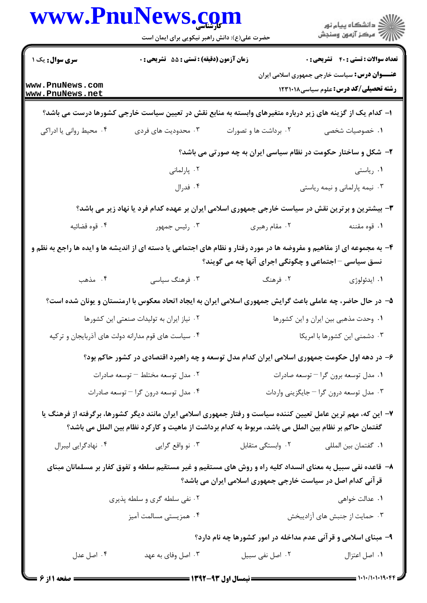|                                    | حضرت علی(ع): دانش راهبر نیکویی برای ایمان است       |                                                                                                                                                                                                                        |                                                                                                       |
|------------------------------------|-----------------------------------------------------|------------------------------------------------------------------------------------------------------------------------------------------------------------------------------------------------------------------------|-------------------------------------------------------------------------------------------------------|
| <b>سری سوال :</b> یک ۱             | زمان آزمون (دقیقه) : تستی : 55 آتشریحی : 0          |                                                                                                                                                                                                                        | <b>تعداد سوالات : تستي : 40 - تشريحي : 0</b>                                                          |
| www.PnuNews.com<br>www.PnuNews.net |                                                     |                                                                                                                                                                                                                        | <b>عنـــوان درس:</b> سیاست خارجی جمهوری اسلامی ایران<br><b>رشته تحصیلی/کد درس: علوم سیاسی ۱۲۳۱۰۱۸</b> |
|                                    |                                                     | ا– کدام یک از گزینه های زیر درباره متغیرهای وابسته به منابع نقش در تعیین سیاست خارجی کشورها درست می باشد؟                                                                                                              |                                                                                                       |
| ۰۴ محیط روانی یا ادراکی            | ۰۳ محدودیت های فردی                                 | ۰۲ برداشت ها و تصورات                                                                                                                                                                                                  | ٠١. خصوصيات شخصي                                                                                      |
|                                    |                                                     | ۲- شکل و ساختار حکومت در نظام سیاسی ایران به چه صورتی می باشد؟                                                                                                                                                         |                                                                                                       |
|                                    | ۰۲ پارلمانی                                         |                                                                                                                                                                                                                        | ۰۱ ریاستی                                                                                             |
|                                    | ۰۴ فدرال                                            |                                                                                                                                                                                                                        | ۰۳ نیمه پارلمانی و نیمه ریاستی                                                                        |
|                                    |                                                     | ۳- بیشترین و برترین نقش در سیاست خارجی جمهوری اسلامی ایران بر عهده کدام فرد یا نهاد زیر می باشد؟                                                                                                                       |                                                                                                       |
| ۰۴ قوه قضائيه                      | ۰۳ رئیس جمهور                                       | ۰۲ مقام رهبری                                                                                                                                                                                                          | ۰۱ قوه مقننه                                                                                          |
|                                    |                                                     | ۴- به مجموعه ای از مفاهیم و مفروضه ها در مورد رفتار و نظام های اجتماعی یا دسته ای از اندیشه ها و ایده ها راجع به نظم و<br>نسق سیاسی – اجتماعی و چگونگی اجرای آنها چه می گویند؟                                         |                                                                                                       |
| ۰۴ مذهب                            | ۰۳ فرهنگ سیاسی                                      | ۲. فرهنگ                                                                                                                                                                                                               | ۰۱ ايدئولوژي                                                                                          |
|                                    |                                                     | ۵– در حال حاضر، چه عاملی باعث گرایش جمهوری اسلامی ایران به ایجاد اتحاد معکوس با ارمنستان و یونان شده است؟                                                                                                              |                                                                                                       |
|                                    | ٠٢ نياز ايران به توليدات صنعتى اين كشورها           |                                                                                                                                                                                                                        | ۰۱ وحدت مذهبی بین ایران و این کشورها                                                                  |
|                                    | ۰۴ سیاست های قوم مدارانه دولت های آذربایجان و ترکیه |                                                                                                                                                                                                                        | ۰۳ دشمنی این کشورها با امریکا                                                                         |
|                                    |                                                     | ۶– در دهه اول حکومت جمهوری اسلامی ایران کدام مدل توسعه و چه راهبرد اقتصادی در کشور حاکم بود؟                                                                                                                           |                                                                                                       |
|                                    | ۰۲ مدل توسعه مختلط – توسعه صادرات                   |                                                                                                                                                                                                                        | ۰۱ مدل توسعه برون گرا – توسعه صادرات                                                                  |
|                                    | ۰۴ مدل توسعه درون گرا – توسعه صادرات                |                                                                                                                                                                                                                        | ۰۳ مدل توسعه درون گرا $-$ جایگزینی واردات                                                             |
|                                    |                                                     | ۷– این که، مهم ترین عامل تعیین کننده سیاست و رفتار جمهوری اسلامی ایران مانند دیگر کشورها، برگرفته از فرهنگ یا<br>گفتمان حاکم بر نظام بین الملل می باشد، مربوط به کدام برداشت از ماهیت و کارکرد نظام بین الملل می باشد؟ |                                                                                                       |
| ۰۴ نهادگرایی لیبرال                | ۰۳ نو واقع گرايي                                    | ٠٢ وابستگي متقابل                                                                                                                                                                                                      | ٠١ گفتمان بين المللي                                                                                  |
|                                    |                                                     | ۸– قاعده نفی سبیل به معنای انسداد کلیه راه و روش های مستقیم و غیر مستقیم سلطه و تفوق کفار بر مسلمانان مبنای<br>قر آنی کدام اصل در سیاست خارجی جمهوری اسلامی ایران می باشد؟                                             |                                                                                                       |
|                                    | ۰۲ نفی سلطه گری و سلطه پذیری                        |                                                                                                                                                                                                                        | ٠١. عدالت خواهي                                                                                       |
|                                    | ۰۴ همزیستی مسالمت آمیز                              |                                                                                                                                                                                                                        | ۰۳ حمایت از جنبش های آزادیبخش                                                                         |
|                                    |                                                     | ۹- مبنای اسلامی و قرآنی عدم مداخله در امور کشورها چه نام دارد؟                                                                                                                                                         |                                                                                                       |
|                                    |                                                     |                                                                                                                                                                                                                        |                                                                                                       |

 $= 1.1 - 11.1 - 19.55$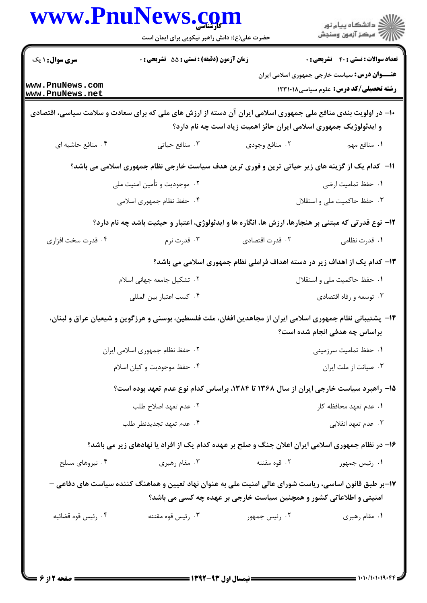|                                    | حضرت علی(ع): دانش راهبر نیکویی برای ایمان است                                                                 |                                                                     | ڪ دانشڪاه پيام نور<br><mark>ر</mark> ⊽ مرڪز آزمون وسنڊش                                              |
|------------------------------------|---------------------------------------------------------------------------------------------------------------|---------------------------------------------------------------------|------------------------------------------------------------------------------------------------------|
| <b>سری سوال : ۱ یک</b>             | زمان آزمون (دقیقه) : تستی : 55 تشریحی : 0                                                                     |                                                                     | <b>تعداد سوالات : تستی : 40 - تشریحی : 0</b>                                                         |
| www.PnuNews.com<br>www.PnuNews.net |                                                                                                               |                                                                     | <b>عنـــوان درس:</b> سیاست خارجی جمهوری اسلامی ایران<br><b>رشته تحصیلی/کد درس:</b> علوم سیاسی1۲۳۱۰۱۸ |
|                                    | +۱- در اولویت بندی منافع ملی جمهوری اسلامی ایران آن دسته از ارزش های ملی که برای سعادت و سلامت سیاسی، اقتصادی | و ایدئولوژیک جمهوری اسلامی ایران حائز اهمیت زیاد است چه نام دارد؟   |                                                                                                      |
| ۰۴ منافع حاشیه ای                  | ۰۳ منافع حیاتی                                                                                                | ۰۲ منافع وجودي                                                      | ٠١. منافع مهم                                                                                        |
|                                    | 11- کدام یک از گزینه های زیر حیاتی ترین و فوری ترین هدف سیاست خارجی نظام جمهوری اسلامی می باشد؟               |                                                                     |                                                                                                      |
|                                    | ۰۲ موجودیت و تأمین امنیت ملی                                                                                  |                                                                     | ٠١. حفظ تماميت ارضى                                                                                  |
|                                    | ۴. حفظ نظام جمهوری اسلامی                                                                                     |                                                                     | ۰۳ حفظ حاکمیت ملی و استقلال                                                                          |
|                                    | ۱۲– نوع قدرتی که مبتنی بر هنجارها، ارزش ها، انگاره ها و ایدئولوژی، اعتبار و حیثیت باشد چه نام دارد؟           |                                                                     |                                                                                                      |
| ۰۴ قدرت سخت افزاري                 | ۰۳ قدرت نرم                                                                                                   | ٢. قدرت اقتصادي                                                     | ۰۱ قدرت نظامی                                                                                        |
|                                    | ۱۳– کدام یک از اهداف زیر در دسته اهداف فراملی نظام جمهوری اسلامی می باشد؟                                     |                                                                     |                                                                                                      |
|                                    | ۰۲ تشکیل جامعه جهانی اسلام                                                                                    |                                                                     | ٠١ حفظ حاكميت ملي و استقلال                                                                          |
|                                    | ۰۴ كسب اعتبار بين المللي                                                                                      |                                                                     | ۰۳ توسعه و رفاه اقتصادي                                                                              |
|                                    | ۱۴– پشتیبانی نظام جمهوری اسلامی ایران از مجاهدین افغان، ملت فلسطین، بوسنی و هرزگوین و شیعیان عراق و لبنان،    |                                                                     | براساس چه هدفی انجام شده است؟                                                                        |
|                                    | ٠٢ حفظ نظام جمهوري اسلامي ايران                                                                               | ۰۱ حفظ تمامیت سرزمینی                                               |                                                                                                      |
|                                    | ۰۴ حفظ موجوديت و كيان اسلام                                                                                   | ٠٣ صيانت از ملت ايران                                               |                                                                                                      |
|                                    | ۱۵– راهبرد سیاست خارجی ایران از سال ۱۳۶۸ تا ۱۳۸۴، براساس کدام نوع عدم تعهد بوده است؟                          |                                                                     |                                                                                                      |
|                                    | ۰۲ عدم تعهد اصلاح طلب                                                                                         | ۰۱ عدم تعهد محافظه کار                                              |                                                                                                      |
|                                    | ۰۴ عدم تعهد تجديدنظر طلب                                                                                      | ۰۳ عدم تعهد انقلابي                                                 |                                                                                                      |
|                                    | ۱۶- در نظام جمهوری اسلامی ایران اعلان جنگ و صلح بر عهده کدام یک از افراد یا نهادهای زیر می باشد؟              |                                                                     |                                                                                                      |
| ۰۴ نیروهای مسلح                    | ۰۳ مقام رهبری                                                                                                 | ۰۲ قوه مقننه                                                        | ۰۱ رئیس جمهور                                                                                        |
|                                    | ۱۷–بر طبق قانون اساسی، ریاست شورای عالی امنیت ملی به عنوان نهاد تعیین و هماهنگ کننده سیاست های دفاعی –        | امنیتی و اطلاعاتی کشور و همچنین سیاست خارجی بر عهده چه کسی می باشد؟ |                                                                                                      |
| ۰۴ رئيس قوه قضائيه                 | ۰۳ رئيس قوه مقننه                                                                                             | ۰۲ رئیس جمهور                                                       | ٠١ مقام رهبري                                                                                        |
|                                    |                                                                                                               |                                                                     |                                                                                                      |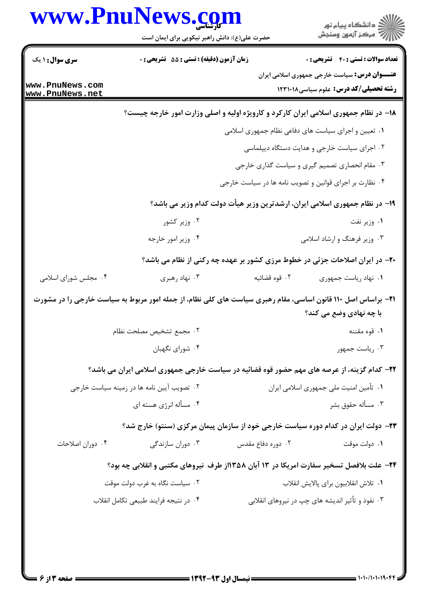|                                                                                                                      | حضرت علی(ع): دانش راهبر نیکویی برای ایمان است                                               | www.PnuNews.com                                         | ِ<br>∭ دانشڪاه پيام نور<br>∭ مرڪز آزمون وسنڊش                                |
|----------------------------------------------------------------------------------------------------------------------|---------------------------------------------------------------------------------------------|---------------------------------------------------------|------------------------------------------------------------------------------|
| <b>سری سوال : ۱ یک</b>                                                                                               | زمان آزمون (دقیقه) : تستی : 55 آتشریحی : 0                                                  |                                                         | <b>تعداد سوالات : تستي : 40 ٪ تشريحي : 0</b>                                 |
|                                                                                                                      |                                                                                             |                                                         | <b>عنـــوان درس:</b> سیاست خارجی جمهوری اسلامی ایران                         |
| www.PnuNews.com<br>www.PnuNews.net                                                                                   |                                                                                             |                                                         | <b>رشته تحصیلی/کد درس:</b> علوم سیاسی1۲۳۱۰۱۸                                 |
|                                                                                                                      | ۱۸- در نظام جمهوری اسلامی ایران کارکرد و کارویژه اولیه و اصلی وزارت امور خارجه چیست؟        |                                                         |                                                                              |
|                                                                                                                      |                                                                                             | ۰۱ تعیین و اجرای سیاست های دفاعی نظام جمهوری اسلامی     |                                                                              |
|                                                                                                                      |                                                                                             |                                                         | ۰۲ اجرای سیاست خارجی و هدایت دستگاه دیپلماسی                                 |
|                                                                                                                      |                                                                                             |                                                         | ۰۳ مقام انحصاری تصمیم گیری و سیاست گذاری خارجی                               |
|                                                                                                                      |                                                                                             | ۰۴ نظارت بر اجرای قوانین و تصویب نامه ها در سیاست خارجی |                                                                              |
|                                                                                                                      |                                                                                             |                                                         | ۱۹- در نظام جمهوری اسلامی ایران، ارشدترین وزیر هیأت دولت کدام وزیر می باشد؟  |
|                                                                                                                      | ۰۲ وزیر کشور                                                                                |                                                         | ۰۱ وزیر نفت                                                                  |
|                                                                                                                      | ۰۴ وزیر امور خارجه                                                                          |                                                         | ۰۳ وزیر فرهنگ و ارشاد اسلامی                                                 |
|                                                                                                                      |                                                                                             |                                                         | +۲- در ایران اصلاحات جزئی در خطوط مرزی کشور بر عهده چه رکنی از نظام می باشد؟ |
| ۰۴ مجلس شورای اسلامی                                                                                                 | ۰۳ نهاد رهبري                                                                               | ۰۲ قوه قضائيه                                           | ۰۱ نهاد رياست جمهوري                                                         |
| <b>۲۱</b> - براساس اصل ۱۱۰ قانون اساسی، مقام رهبری سیاست های کلی نظام، از جمله امور مربوط به سیاست خارجی را در مشورت |                                                                                             |                                                         |                                                                              |
|                                                                                                                      |                                                                                             |                                                         | با چه نهادی وضع می کند؟                                                      |
|                                                                                                                      | ٠٢ مجمع تشخيص مصلحت نظام<br>۰۴ شورای نگهبان                                                 |                                                         | ۰۱ قوه مقننه<br>۰۳ رياست جمهور                                               |
|                                                                                                                      |                                                                                             |                                                         |                                                                              |
|                                                                                                                      | ۲۲- کدام گزینه، از عرصه های مهم حضور قوه قضائیه در سیاست خارجی جمهوری اسلامی ایران می باشد؟ |                                                         |                                                                              |
|                                                                                                                      | ۰۲ تصویب آیین نامه ها در زمینه سیاست خارجی                                                  |                                                         | ۰۱ تأمین امنیت ملی جمهوری اسلامی ایران                                       |
|                                                                                                                      | ۰۴ مسأله انرژی هسته ای                                                                      |                                                         | ۰۳ مسأله حقوق بشر                                                            |
|                                                                                                                      | ۲۳– دولت ایران در کدام دوره سیاست خارجی خود از سازمان پیمان مرکزی (سنتو) خارج شد؟           |                                                         |                                                                              |
| ۰۴ دوران اصلاحات                                                                                                     | ۰۳ دوران سازندگی                                                                            | ۰۲ دوره دفاع مقدس                                       | ۰۱ دولت موقت                                                                 |
|                                                                                                                      | 3۴- علت بلافصل تسخیر سفارت امریکا در ۱۳ آبان ۱۳۵۸از طرف  نیروهای مکتبی و انقلابی چه بود؟    |                                                         |                                                                              |
|                                                                                                                      | ۰۲ سیاست نگاه به غرب دولت موقت                                                              |                                                         | ٠١ تلاش انقلابيون براي پالايش انقلاب                                         |
|                                                                                                                      | ۰۴ در نتيجه فرايند طبيعي تكامل انقلاب                                                       |                                                         | ۰۳ نفوذ و تأثیر اندیشه های چپ در نیروهای انقلابی                             |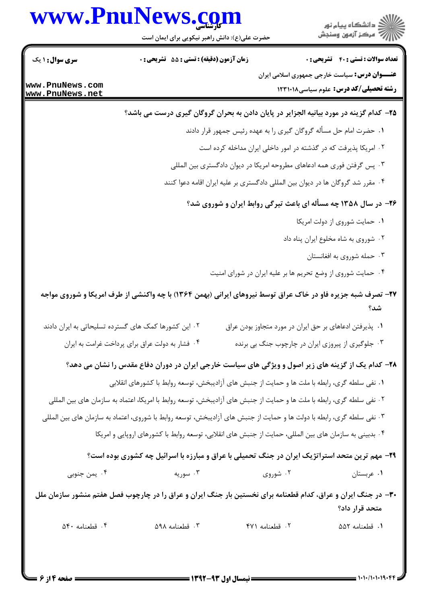# www.PnuNews.com

.<br>د دانشگاه پيام نور ر آمرڪز آزمون وسنجش

حضرت علی(ع): دانش راهبر نیکویی برای ایمان است

**زمان آزمون (دقیقه) : تستی : 55 تشریحی: 0** 

**سری سوال : ۱ یک** 

www.PnuNews.com www.PnuNews.net

**تعداد سوالات : تستي : 40 ٪ تشريحي : 0 عنـــوان درس:** سیاست خارجی جمهوری اسلامی ایران **رشته تحصیلی/کد درس:** علوم سیاسی12310 ۱۲۳۱۰۱۸

## ۲۵– کدام گزینه در مورد بیانیه الجزایر در پایان دادن به بحران گروگان گیری درست می باشد؟

١. حضرت امام حل مسأله گروگان گیری ٫ا به عهده ٫ئیس جمهو٫ قرا٫ دادند

۲. امریکا پذیرفت که در گذشته در امور داخلی ایران مداخله کرده است

۰۳ پس گرفتن فوری همه ادعاهای مطروحه امریکا در دیوان دادگستری بین المللی

۰۴ مقرر شد گروگان ها در دیوان بین المللی دادگستری بر علیه ایران اقامه دعوا کنند

## ۲۶- در سال ۱۳۵۸ چه مسأله ای باعث تیرگی روابط ایران و شوروی شد؟

- ٠١ حمايت شوروى از دولت امريكا
- ۰۲ شوروی به شاه مخلوع ایران پناه داد
	- ۰۳ حمله شوروی به افغانستان
- ۰۴ حمایت شوروی از وضع تحریم ها بر علیه ایران در شورای امنیت

# ۲۷- تصرف شبه جزیره فاو در خاک عراق توسط نیروهای ایرانی (بهمن ۱۳۶۴) با چه واکنشی از طرف امریکا و شوروی مواجه شد؟

- ۰۲ این کشورها کمک های گسترده تسلیحاتی به ایران دادند ۰۱ پذیرفتن ادعاهای بر حق ایران در مورد متجاوز بودن عراق
	- ۰۴ فشار به دولت عراق برای پرداخت غرامت به ایران ۰۳ جلوگیری از پیروزی ایران در چارچوب جنگ بی برنده

### ۲۸– کدام یک از گزینه های زیر اصول و ویژگی های سیاست خارجی ایران در دوران دفاع مقدس را نشان می دهد؟

- ١. نفي سلطه گري، رابطه با ملت ها و حمايت از جنبش هاي آزاديبخش، توسعه روابط با كشورهاي انقلابي
- ۲ . نفي سلطه گري، رابطه با ملت ها و حمايت از جنبش هاي آزاديبخش، توسعه روابط با امريكا، اعتماد به سازمان هاي بين المللي
- ۳. نفي سلطه گري، رابطه با دولت ها و حمايت از جنبش هاي آزاديبخش، توسعه روابط با شوروي، اعتماد به سازمان هاي بين المللي
	- ۰۴ بدبینی به سازمان های بین المللی، حمایت از جنبش های انقلابی، توسعه روابط با کشورهای اروپایی و امریکا

### ۲۹- مهم ترین متحد استراتژیک ایران در جنگ تحمیلی با عراق و مبارزه با اسرائیل چه کشوری بوده است؟

| ۴ . يمن جنوبي | ۰۳ سوریه | ۰۲ شوروی | ۰۱ عربستان |
|---------------|----------|----------|------------|
|               |          |          |            |

## ۳۰- در جنگ ایران و عراق، کدام قطعنامه برای نخستین بار جنگ ایران و عراق را در چارچوب فصل هفتم منشور سازمان ملل متحد قرار داد؟

۰۴ قطعنامه ۵۴۰ ۰۳ قطعنامه ۵۹۸ ٠١. قطعنامه ٥٥٢ ۰۲ قطعنامه ۴۷۱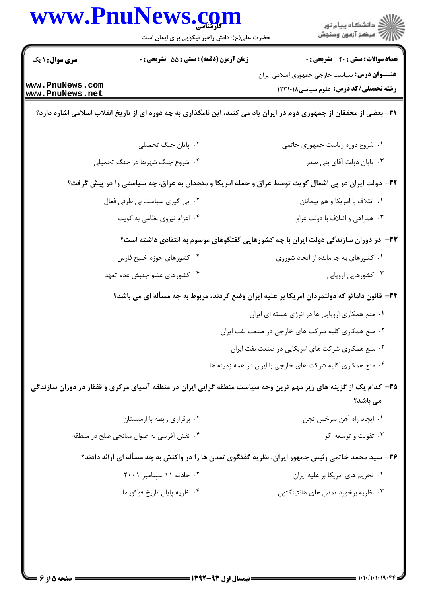|                                    | www.PnuNews.com<br>حضرت علی(ع): دانش راهبر نیکویی برای ایمان است | ر<br>پر دانشگاه پيام نور<br>پر مرکز آزمون وسنجش                                                                             |
|------------------------------------|------------------------------------------------------------------|-----------------------------------------------------------------------------------------------------------------------------|
| <b>سری سوال : ۱ یک</b>             | زمان آزمون (دقیقه) : تستی : 55 آتشریحی : 0                       | <b>تعداد سوالات : تستی : 40 قشریحی : 0</b>                                                                                  |
| www.PnuNews.com<br>www.PnuNews.net |                                                                  | <b>عنـــوان درس:</b> سیاست خارجی جمهوری اسلامی ایران<br><b>رشته تحصیلی/کد درس:</b> علوم سیاسی1۲۳۱۰۱۸                        |
|                                    |                                                                  | ۳۱- بعضی از محققان از جمهوری دوم در ایران یاد می کنند، این نامگذاری به چه دوره ای از تاریخ انقلاب اسلامی اشاره دارد؟        |
|                                    | ۰۲ پایان جنگ تحمیلی                                              | ٠١ شروع دوره رياست جمهوري خاتمي                                                                                             |
|                                    | ۰۴ شروع جنگ شهرها در جنگ تحمیلی                                  | ۰۳ پایان دولت آقای بنی صدر                                                                                                  |
|                                    |                                                                  | 33- دولت ایران در پی اشغال کویت توسط عراق و حمله امریکا و متحدان به عراق، چه سیاستی را در پیش گرفت؟                         |
|                                    | ۰۲ پی گیری سیاست بی طرفی فعال                                    | ۰۱ ائتلاف با امريكا و هم پيمانان                                                                                            |
|                                    | ۰۴ اعزام نیروی نظامی به کویت                                     | ۰۳ همراهی و ائتلاف با دولت عراق                                                                                             |
|                                    |                                                                  | ۳۳- در دوران سازندگی دولت ایران با چه کشورهایی گفتگوهای موسوم به انتقادی داشته است؟                                         |
|                                    | ۰۲ کشورهای حوزه خلیج فارس                                        | ۰۱ کشورهای به جا مانده از اتحاد شوروی                                                                                       |
|                                    | ۰۴ کشورهای عضو جنبش عدم تعهد                                     | ۰۳ کشورهایی اروپایی                                                                                                         |
|                                    |                                                                  | ۳۴- قانون داماتو که دولتمردان امریکا بر علیه ایران وضع کردند، مربوط به چه مسأله ای می باشد؟                                 |
|                                    |                                                                  | ۰۱ منع همکاری اروپایی ها در انرژی هسته ای ایران                                                                             |
|                                    |                                                                  | ۰۲ منع همکاری کلیه شرکت های خارجی در صنعت نفت ایران                                                                         |
|                                    |                                                                  | ۰۳ منع همکاری شرکت های امریکایی در صنعت نفت ایران                                                                           |
|                                    |                                                                  | ۰۴ منع همکاری کلیه شرکت های خارجی با ایران در همه زمینه ها                                                                  |
|                                    |                                                                  | ۳۵– کدام یک از گزینه های زیر مهم ترین وجه سیاست منطقه گرایی ایران در منطقه آسیای مرکزی و قفقاز در دوران سازندگی<br>می باشد؟ |
|                                    | ۰۲ برقراری رابطه با ارمنستان                                     | ٠١. ايجاد راه آهن سرخس تجن                                                                                                  |
|                                    | ۰۴ نقش آفرینی به عنوان میانجی صلح در منطقه                       | ۰۳ تقویت و توسعه اکو                                                                                                        |
|                                    |                                                                  | ۳۶- سید محمد خاتمی رئیس جمهور ایران، نظریه گفتگوی تمدن ها را در واکنش به چه مسأله ای ارائه دادند؟                           |
|                                    | ۰۲ حادثه ۱۱ سیتامبر ۲۰۰۱                                         | ۰۱ تحریم های امریکا بر علیه ایران                                                                                           |
|                                    | ۰۴ نظريه يايان تاريخ فوكوياما                                    | ۰۳ نظریه برخورد تمدن های هانتینگتون                                                                                         |